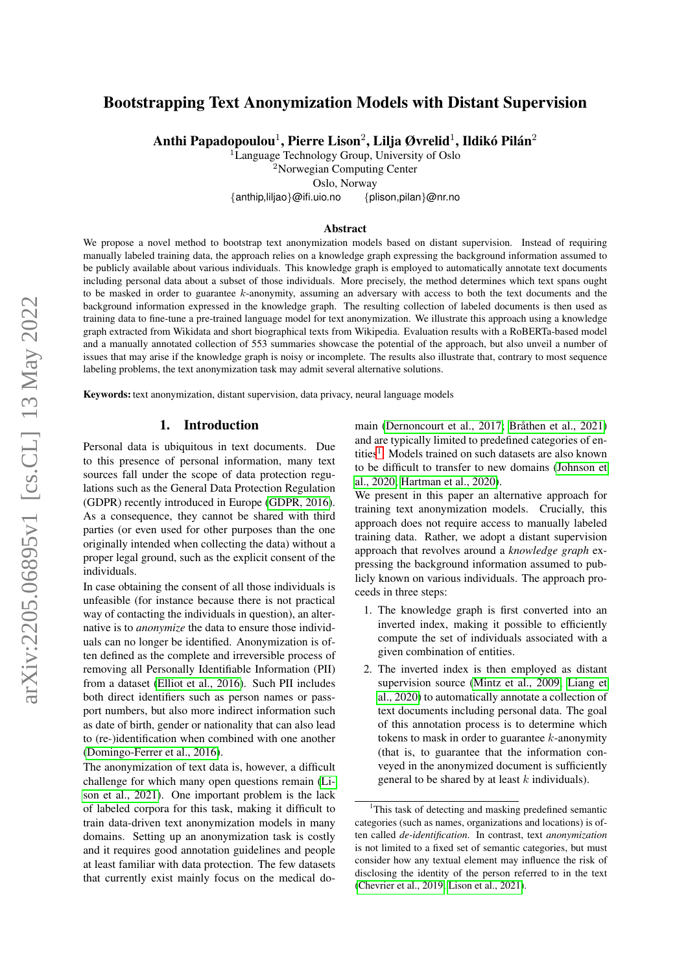# Bootstrapping Text Anonymization Models with Distant Supervision

Anthi Papadopoulou $^1$ , Pierre Lison $^2$ , Lilja Øvrelid $^1$ , Ildikó Pilán $^2$ 

<sup>1</sup>Language Technology Group, University of Oslo

<sup>2</sup>Norwegian Computing Center

Oslo, Norway

{anthip,liljao}@ifi.uio.no {plison,pilan}@nr.no

#### Abstract

We propose a novel method to bootstrap text anonymization models based on distant supervision. Instead of requiring manually labeled training data, the approach relies on a knowledge graph expressing the background information assumed to be publicly available about various individuals. This knowledge graph is employed to automatically annotate text documents including personal data about a subset of those individuals. More precisely, the method determines which text spans ought to be masked in order to guarantee  $k$ -anonymity, assuming an adversary with access to both the text documents and the background information expressed in the knowledge graph. The resulting collection of labeled documents is then used as training data to fine-tune a pre-trained language model for text anonymization. We illustrate this approach using a knowledge graph extracted from Wikidata and short biographical texts from Wikipedia. Evaluation results with a RoBERTa-based model and a manually annotated collection of 553 summaries showcase the potential of the approach, but also unveil a number of issues that may arise if the knowledge graph is noisy or incomplete. The results also illustrate that, contrary to most sequence labeling problems, the text anonymization task may admit several alternative solutions.

Keywords: text anonymization, distant supervision, data privacy, neural language models

## 1. Introduction

Personal data is ubiquitous in text documents. Due to this presence of personal information, many text sources fall under the scope of data protection regulations such as the General Data Protection Regulation (GDPR) recently introduced in Europe [\(GDPR, 2016\)](#page-9-0). As a consequence, they cannot be shared with third parties (or even used for other purposes than the one originally intended when collecting the data) without a proper legal ground, such as the explicit consent of the individuals.

In case obtaining the consent of all those individuals is unfeasible (for instance because there is not practical way of contacting the individuals in question), an alternative is to *anonymize* the data to ensure those individuals can no longer be identified. Anonymization is often defined as the complete and irreversible process of removing all Personally Identifiable Information (PII) from a dataset [\(Elliot et al., 2016\)](#page-9-1). Such PII includes both direct identifiers such as person names or passport numbers, but also more indirect information such as date of birth, gender or nationality that can also lead to (re-)identification when combined with one another [\(Domingo-Ferrer et al., 2016\)](#page-9-2).

The anonymization of text data is, however, a difficult challenge for which many open questions remain [\(Li](#page-9-3)[son et al., 2021\)](#page-9-3). One important problem is the lack of labeled corpora for this task, making it difficult to train data-driven text anonymization models in many domains. Setting up an anonymization task is costly and it requires good annotation guidelines and people at least familiar with data protection. The few datasets that currently exist mainly focus on the medical domain [\(Dernoncourt et al., 2017;](#page-8-0) Bråthen et al., 2021) and are typically limited to predefined categories of en-tities<sup>[1](#page-0-0)</sup>. Models trained on such datasets are also known to be difficult to transfer to new domains [\(Johnson et](#page-9-4) [al., 2020;](#page-9-4) [Hartman et al., 2020\)](#page-9-5).

We present in this paper an alternative approach for training text anonymization models. Crucially, this approach does not require access to manually labeled training data. Rather, we adopt a distant supervision approach that revolves around a *knowledge graph* expressing the background information assumed to publicly known on various individuals. The approach proceeds in three steps:

- 1. The knowledge graph is first converted into an inverted index, making it possible to efficiently compute the set of individuals associated with a given combination of entities.
- 2. The inverted index is then employed as distant supervision source [\(Mintz et al., 2009;](#page-9-6) [Liang et](#page-9-7) [al., 2020\)](#page-9-7) to automatically annotate a collection of text documents including personal data. The goal of this annotation process is to determine which tokens to mask in order to guarantee  $k$ -anonymity (that is, to guarantee that the information conveyed in the anonymized document is sufficiently general to be shared by at least  $k$  individuals).

<span id="page-0-0"></span><sup>&</sup>lt;sup>1</sup>This task of detecting and masking predefined semantic categories (such as names, organizations and locations) is often called *de-identification*. In contrast, text *anonymization* is not limited to a fixed set of semantic categories, but must consider how any textual element may influence the risk of disclosing the identity of the person referred to in the text [\(Chevrier et al., 2019;](#page-8-2) [Lison et al., 2021\)](#page-9-3).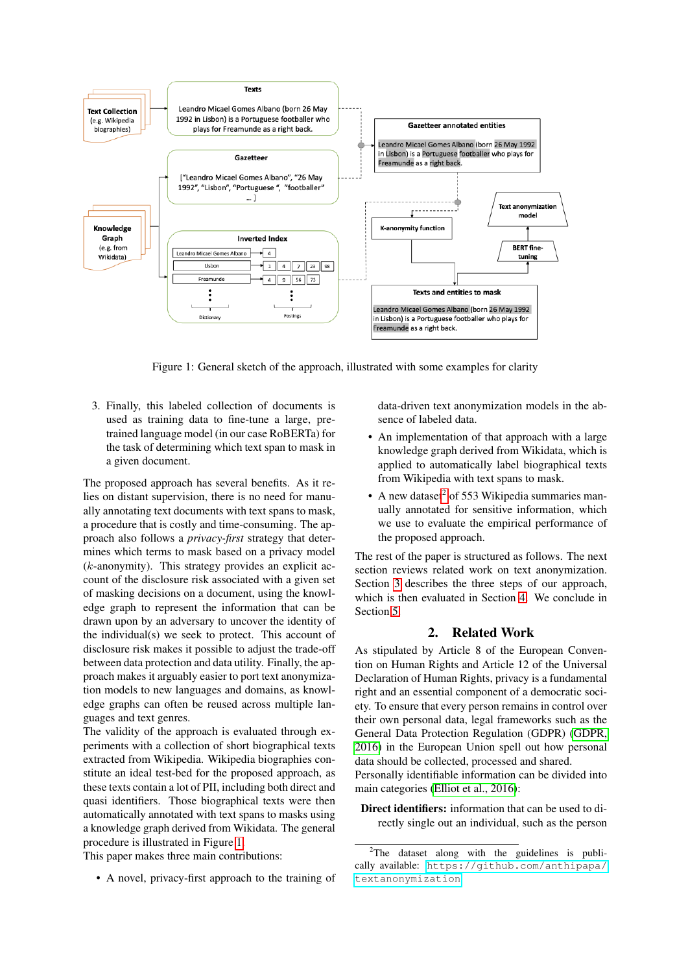<span id="page-1-0"></span>

Figure 1: General sketch of the approach, illustrated with some examples for clarity

3. Finally, this labeled collection of documents is used as training data to fine-tune a large, pretrained language model (in our case RoBERTa) for the task of determining which text span to mask in a given document.

The proposed approach has several benefits. As it relies on distant supervision, there is no need for manually annotating text documents with text spans to mask, a procedure that is costly and time-consuming. The approach also follows a *privacy-first* strategy that determines which terms to mask based on a privacy model (k-anonymity). This strategy provides an explicit account of the disclosure risk associated with a given set of masking decisions on a document, using the knowledge graph to represent the information that can be drawn upon by an adversary to uncover the identity of the individual(s) we seek to protect. This account of disclosure risk makes it possible to adjust the trade-off between data protection and data utility. Finally, the approach makes it arguably easier to port text anonymization models to new languages and domains, as knowledge graphs can often be reused across multiple languages and text genres.

The validity of the approach is evaluated through experiments with a collection of short biographical texts extracted from Wikipedia. Wikipedia biographies constitute an ideal test-bed for the proposed approach, as these texts contain a lot of PII, including both direct and quasi identifiers. Those biographical texts were then automatically annotated with text spans to masks using a knowledge graph derived from Wikidata. The general procedure is illustrated in Figure [1.](#page-1-0)

This paper makes three main contributions:

• A novel, privacy-first approach to the training of

data-driven text anonymization models in the absence of labeled data.

- An implementation of that approach with a large knowledge graph derived from Wikidata, which is applied to automatically label biographical texts from Wikipedia with text spans to mask.
- A new dataset<sup>[2](#page-1-1)</sup> of 553 Wikipedia summaries manually annotated for sensitive information, which we use to evaluate the empirical performance of the proposed approach.

The rest of the paper is structured as follows. The next section reviews related work on text anonymization. Section [3](#page-2-0) describes the three steps of our approach, which is then evaluated in Section [4.](#page-4-0) We conclude in Section [5.](#page-7-0)

## 2. Related Work

<span id="page-1-2"></span>As stipulated by Article 8 of the European Convention on Human Rights and Article 12 of the Universal Declaration of Human Rights, privacy is a fundamental right and an essential component of a democratic society. To ensure that every person remains in control over their own personal data, legal frameworks such as the General Data Protection Regulation (GDPR) [\(GDPR,](#page-9-0) [2016\)](#page-9-0) in the European Union spell out how personal data should be collected, processed and shared.

Personally identifiable information can be divided into main categories [\(Elliot et al., 2016\)](#page-9-1):

Direct identifiers: information that can be used to directly single out an individual, such as the person

<span id="page-1-1"></span> $2$ The dataset along with the guidelines is publically available: [https://github.com/anthipapa/](https://github.com/anthipapa/textanonymization) [textanonymization](https://github.com/anthipapa/textanonymization)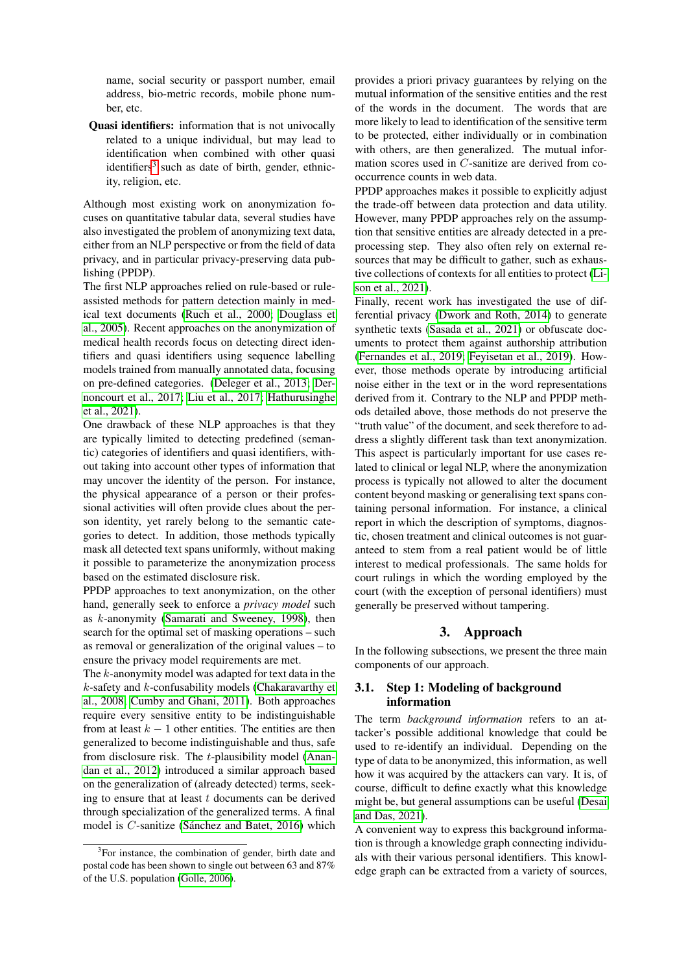name, social security or passport number, email address, bio-metric records, mobile phone number<sub>etc</sub>.

Quasi identifiers: information that is not univocally related to a unique individual, but may lead to identification when combined with other quasi identifiers<sup>[3](#page-2-1)</sup> such as date of birth, gender, ethnicity, religion, etc.

Although most existing work on anonymization focuses on quantitative tabular data, several studies have also investigated the problem of anonymizing text data, either from an NLP perspective or from the field of data privacy, and in particular privacy-preserving data publishing (PPDP).

The first NLP approaches relied on rule-based or ruleassisted methods for pattern detection mainly in medical text documents [\(Ruch et al., 2000;](#page-9-8) [Douglass et](#page-9-9) [al., 2005\)](#page-9-9). Recent approaches on the anonymization of medical health records focus on detecting direct identifiers and quasi identifiers using sequence labelling models trained from manually annotated data, focusing on pre-defined categories. [\(Deleger et al., 2013;](#page-8-3) [Der](#page-8-0)[noncourt et al., 2017;](#page-8-0) [Liu et al., 2017;](#page-9-10) [Hathurusinghe](#page-9-11) [et al., 2021\)](#page-9-11).

One drawback of these NLP approaches is that they are typically limited to detecting predefined (semantic) categories of identifiers and quasi identifiers, without taking into account other types of information that may uncover the identity of the person. For instance, the physical appearance of a person or their professional activities will often provide clues about the person identity, yet rarely belong to the semantic categories to detect. In addition, those methods typically mask all detected text spans uniformly, without making it possible to parameterize the anonymization process based on the estimated disclosure risk.

PPDP approaches to text anonymization, on the other hand, generally seek to enforce a *privacy model* such as k-anonymity [\(Samarati and Sweeney, 1998\)](#page-9-12), then search for the optimal set of masking operations – such as removal or generalization of the original values – to ensure the privacy model requirements are met.

The k-anonymity model was adapted for text data in the  $k$ -safety and  $k$ -confusability models [\(Chakaravarthy et](#page-8-4) [al., 2008;](#page-8-4) [Cumby and Ghani, 2011\)](#page-8-5). Both approaches require every sensitive entity to be indistinguishable from at least  $k - 1$  other entities. The entities are then generalized to become indistinguishable and thus, safe from disclosure risk. The t-plausibility model [\(Anan](#page-8-6)[dan et al., 2012\)](#page-8-6) introduced a similar approach based on the generalization of (already detected) terms, seeking to ensure that at least  $t$  documents can be derived through specialization of the generalized terms. A final model is  $C$ -sanitize (Sánchez and Batet, 2016) which provides a priori privacy guarantees by relying on the mutual information of the sensitive entities and the rest of the words in the document. The words that are more likely to lead to identification of the sensitive term to be protected, either individually or in combination with others, are then generalized. The mutual information scores used in C-sanitize are derived from cooccurrence counts in web data.

PPDP approaches makes it possible to explicitly adjust the trade-off between data protection and data utility. However, many PPDP approaches rely on the assumption that sensitive entities are already detected in a preprocessing step. They also often rely on external resources that may be difficult to gather, such as exhaustive collections of contexts for all entities to protect [\(Li](#page-9-3)[son et al., 2021\)](#page-9-3).

Finally, recent work has investigated the use of differential privacy [\(Dwork and Roth, 2014\)](#page-9-14) to generate synthetic texts [\(Sasada et al., 2021\)](#page-10-1) or obfuscate documents to protect them against authorship attribution [\(Fernandes et al., 2019;](#page-9-15) [Feyisetan et al., 2019\)](#page-9-16). However, those methods operate by introducing artificial noise either in the text or in the word representations derived from it. Contrary to the NLP and PPDP methods detailed above, those methods do not preserve the "truth value" of the document, and seek therefore to address a slightly different task than text anonymization. This aspect is particularly important for use cases related to clinical or legal NLP, where the anonymization process is typically not allowed to alter the document content beyond masking or generalising text spans containing personal information. For instance, a clinical report in which the description of symptoms, diagnostic, chosen treatment and clinical outcomes is not guaranteed to stem from a real patient would be of little interest to medical professionals. The same holds for court rulings in which the wording employed by the court (with the exception of personal identifiers) must generally be preserved without tampering.

# 3. Approach

<span id="page-2-0"></span>In the following subsections, we present the three main components of our approach.

## 3.1. Step 1: Modeling of background information

The term *background information* refers to an attacker's possible additional knowledge that could be used to re-identify an individual. Depending on the type of data to be anonymized, this information, as well how it was acquired by the attackers can vary. It is, of course, difficult to define exactly what this knowledge might be, but general assumptions can be useful [\(Desai](#page-8-7) [and Das, 2021\)](#page-8-7).

A convenient way to express this background information is through a knowledge graph connecting individuals with their various personal identifiers. This knowledge graph can be extracted from a variety of sources,

<span id="page-2-1"></span><sup>&</sup>lt;sup>3</sup>For instance, the combination of gender, birth date and postal code has been shown to single out between 63 and 87% of the U.S. population [\(Golle, 2006\)](#page-9-13).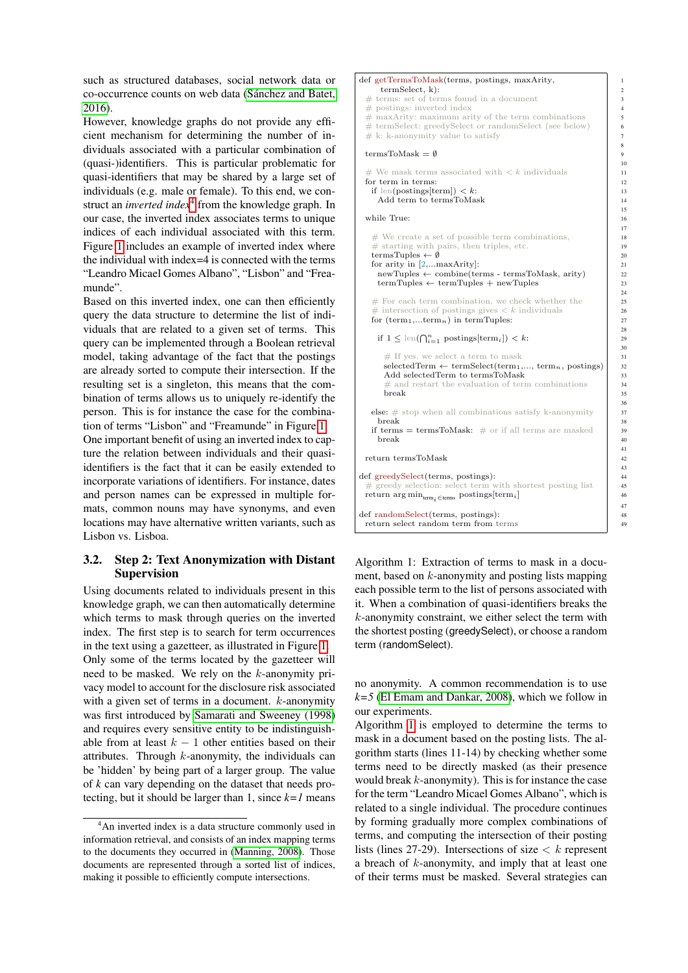such as structured databases, social network data or co-occurrence counts on web data [\(Sanchez and Batet,](#page-10-0) ´ [2016\)](#page-10-0).

However, knowledge graphs do not provide any efficient mechanism for determining the number of individuals associated with a particular combination of (quasi-)identifiers. This is particular problematic for quasi-identifiers that may be shared by a large set of individuals (e.g. male or female). To this end, we construct an *inverted index*[4](#page-3-0) from the knowledge graph. In our case, the inverted index associates terms to unique indices of each individual associated with this term. Figure [1](#page-1-0) includes an example of inverted index where the individual with index=4 is connected with the terms "Leandro Micael Gomes Albano", "Lisbon" and "Freamunde".

Based on this inverted index, one can then efficiently query the data structure to determine the list of individuals that are related to a given set of terms. This query can be implemented through a Boolean retrieval model, taking advantage of the fact that the postings are already sorted to compute their intersection. If the resulting set is a singleton, this means that the combination of terms allows us to uniquely re-identify the person. This is for instance the case for the combination of terms "Lisbon" and "Freamunde" in Figure [1.](#page-1-0)

One important benefit of using an inverted index to capture the relation between individuals and their quasiidentifiers is the fact that it can be easily extended to incorporate variations of identifiers. For instance, dates and person names can be expressed in multiple formats, common nouns may have synonyms, and even locations may have alternative written variants, such as Lisbon vs. Lisboa.

## 3.2. Step 2: Text Anonymization with Distant Supervision

Using documents related to individuals present in this knowledge graph, we can then automatically determine which terms to mask through queries on the inverted index. The first step is to search for term occurrences in the text using a gazetteer, as illustrated in Figure [1.](#page-1-0) Only some of the terms located by the gazetteer will need to be masked. We rely on the k-anonymity privacy model to account for the disclosure risk associated with a given set of terms in a document.  $k$ -anonymity was first introduced by [Samarati and Sweeney \(1998\)](#page-9-12) and requires every sensitive entity to be indistinguishable from at least  $k - 1$  other entities based on their attributes. Through  $k$ -anonymity, the individuals can be 'hidden' by being part of a larger group. The value of *k* can vary depending on the dataset that needs protecting, but it should be larger than 1, since  $k=1$  means

#### <span id="page-3-1"></span>def getTermsToMask(terms, postings, maxArity, 1 termSelect, k): 2  $\#$  terms: set of terms found in a document  $\frac{3}{3}$  $\#$  postings: inverted index<br> $\#$  maxArity: maximum arity of the term combinations  $\left| \begin{array}{c} 4 \end{array} \right|$  $\#$  maxArity: maximum arity of the term combinations  $\#$  termSelect: greedySelect or randomSelect (see below) 6  $\frac{4}{\#}$  termSelect: greedySelect or randomSelect (see below)  $\frac{4}{\#}$  k: k-anonymity value to satisfy  $# k:$  k-anonymity value to satisfy termsToMask  $=$   $\emptyset$ # We mask terms associated with  $\lt k$  individuals 11 for term in terms: 12 if len(postings[term])  $\langle k:$  13 Add term to termsToMask 14 while True: 16  $\#$  We create a set of possible term combinations,<br> $\#$  starting with pairs, then triples, etc.  $#$  starting with pairs, then triples, etc. termsTuples  $\leftarrow \emptyset$  20 for arity in  $[2,...\text{maxArity}]$ : 21  $newTuples \leftarrow combine(terms - termsToMask, arity)$  22 termTuples  $\leftarrow$  termTuples + newTuples 23 # For each term combination, we check whether the <br># intersection of postings gives  $\lt k$  individuals 20 intersection of postings gives  $\langle k \rangle$  individuals 26  $\vert$  27 for  $(\text{term}_1,...\text{term}_n)$  in termTuples: if  $1 \leq \text{len}(\bigcap_{i=1}^{n} \text{postings}[\text{term}_{i}]) \leq k$ :  $\neq$  If yes, we select a term to mask  $\qquad \qquad$  31  $s^{2}$ electedTerm ← termSelect(term<sub>1</sub>,..., term<sub>n</sub>, postings)  $\begin{vmatrix} 32 \\ 33 \end{vmatrix}$ Add selectedTerm to termsToMask # and restart the evaluation of term combinations 34 break 35 **else:**  $\#$  stop when all combinations satisfy k-anonymity **break** 38 break 38 if terms = termsToMask:  $\#$  or if all terms are masked 39 break and the set of the set of the set of the set of the set of the set of the set of the set of the set of the set of the set of the set of the set of the set of the set of the set of the set of the set of the set of the return termsToMask 42 def greedySelect(terms, postings):<br>  $\#$  greedy selection: select term with shortest posting list 45 greedy selection: select term with shortest posting list return arg min<sub>term<sub>i</sub>∈terms postings[term<sub>i</sub>] 46</sub> def randomSelect(terms, postings): 48 return select random term from terms 49

8

10

15

 $\frac{17}{18}$ 

 $24$ 

28

30

36<br>37

41

43

47

Algorithm 1: Extraction of terms to mask in a document, based on k-anonymity and posting lists mapping each possible term to the list of persons associated with it. When a combination of quasi-identifiers breaks the k-anonymity constraint, we either select the term with the shortest posting (greedySelect), or choose a random term (randomSelect).

no anonymity. A common recommendation is to use  $k=5$  [\(El Emam and Dankar, 2008\)](#page-9-18), which we follow in our experiments.

Algorithm [1](#page-3-1) is employed to determine the terms to mask in a document based on the posting lists. The algorithm starts (lines 11-14) by checking whether some terms need to be directly masked (as their presence would break k-anonymity). This is for instance the case for the term "Leandro Micael Gomes Albano", which is related to a single individual. The procedure continues by forming gradually more complex combinations of terms, and computing the intersection of their posting lists (lines 27-29). Intersections of size  $\lt k$  represent a breach of k-anonymity, and imply that at least one of their terms must be masked. Several strategies can

<span id="page-3-0"></span><sup>&</sup>lt;sup>4</sup>An inverted index is a data structure commonly used in information retrieval, and consists of an index mapping terms to the documents they occurred in [\(Manning, 2008\)](#page-9-17). Those documents are represented through a sorted list of indices, making it possible to efficiently compute intersections.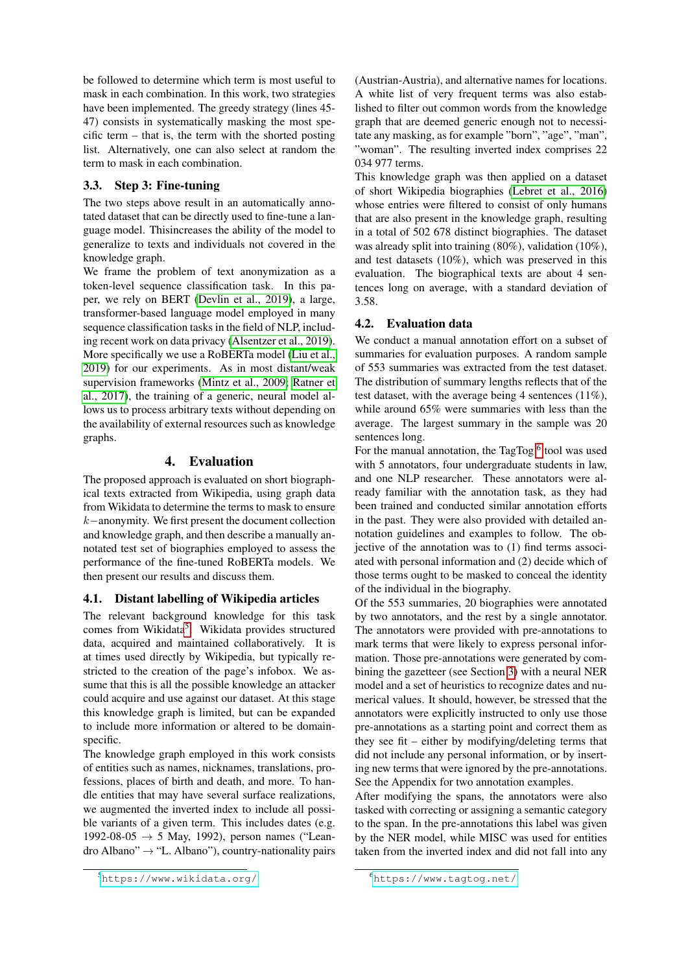be followed to determine which term is most useful to mask in each combination. In this work, two strategies have been implemented. The greedy strategy (lines 45- 47) consists in systematically masking the most specific term – that is, the term with the shorted posting list. Alternatively, one can also select at random the term to mask in each combination.

## 3.3. Step 3: Fine-tuning

The two steps above result in an automatically annotated dataset that can be directly used to fine-tune a language model. Thisincreases the ability of the model to generalize to texts and individuals not covered in the knowledge graph.

We frame the problem of text anonymization as a token-level sequence classification task. In this paper, we rely on BERT [\(Devlin et al., 2019\)](#page-9-19), a large, transformer-based language model employed in many sequence classification tasks in the field of NLP, including recent work on data privacy [\(Alsentzer et al., 2019\)](#page-8-8). More specifically we use a RoBERTa model [\(Liu et al.,](#page-9-20) [2019\)](#page-9-20) for our experiments. As in most distant/weak supervision frameworks [\(Mintz et al., 2009;](#page-9-6) [Ratner et](#page-9-21) [al., 2017\)](#page-9-21), the training of a generic, neural model allows us to process arbitrary texts without depending on the availability of external resources such as knowledge graphs.

# 4. Evaluation

<span id="page-4-0"></span>The proposed approach is evaluated on short biographical texts extracted from Wikipedia, using graph data from Wikidata to determine the terms to mask to ensure k−anonymity. We first present the document collection and knowledge graph, and then describe a manually annotated test set of biographies employed to assess the performance of the fine-tuned RoBERTa models. We then present our results and discuss them.

# 4.1. Distant labelling of Wikipedia articles

The relevant background knowledge for this task comes from Wikidata<sup>[5](#page-4-1)</sup>. Wikidata provides structured data, acquired and maintained collaboratively. It is at times used directly by Wikipedia, but typically restricted to the creation of the page's infobox. We assume that this is all the possible knowledge an attacker could acquire and use against our dataset. At this stage this knowledge graph is limited, but can be expanded to include more information or altered to be domainspecific.

The knowledge graph employed in this work consists of entities such as names, nicknames, translations, professions, places of birth and death, and more. To handle entities that may have several surface realizations, we augmented the inverted index to include all possible variants of a given term. This includes dates (e.g. 1992-08-05 → 5 May, 1992), person names ("Leandro Albano"  $\rightarrow$  "L. Albano"), country-nationality pairs

(Austrian-Austria), and alternative names for locations. A white list of very frequent terms was also established to filter out common words from the knowledge graph that are deemed generic enough not to necessitate any masking, as for example "born", "age", "man", "woman". The resulting inverted index comprises 22 034 977 terms.

This knowledge graph was then applied on a dataset of short Wikipedia biographies [\(Lebret et al., 2016\)](#page-9-22) whose entries were filtered to consist of only humans that are also present in the knowledge graph, resulting in a total of 502 678 distinct biographies. The dataset was already split into training (80%), validation (10%), and test datasets (10%), which was preserved in this evaluation. The biographical texts are about 4 sentences long on average, with a standard deviation of 3.58.

## <span id="page-4-3"></span>4.2. Evaluation data

We conduct a manual annotation effort on a subset of summaries for evaluation purposes. A random sample of 553 summaries was extracted from the test dataset. The distribution of summary lengths reflects that of the test dataset, with the average being 4 sentences (11%), while around 65% were summaries with less than the average. The largest summary in the sample was 20 sentences long.

For the manual annotation, the TagTog<sup>[6](#page-4-2)</sup> tool was used with 5 annotators, four undergraduate students in law, and one NLP researcher. These annotators were already familiar with the annotation task, as they had been trained and conducted similar annotation efforts in the past. They were also provided with detailed annotation guidelines and examples to follow. The objective of the annotation was to (1) find terms associated with personal information and (2) decide which of those terms ought to be masked to conceal the identity of the individual in the biography.

Of the 553 summaries, 20 biographies were annotated by two annotators, and the rest by a single annotator. The annotators were provided with pre-annotations to mark terms that were likely to express personal information. Those pre-annotations were generated by combining the gazetteer (see Section [3\)](#page-2-0) with a neural NER model and a set of heuristics to recognize dates and numerical values. It should, however, be stressed that the annotators were explicitly instructed to only use those pre-annotations as a starting point and correct them as they see fit – either by modifying/deleting terms that did not include any personal information, or by inserting new terms that were ignored by the pre-annotations. See the Appendix for two annotation examples.

After modifying the spans, the annotators were also tasked with correcting or assigning a semantic category to the span. In the pre-annotations this label was given by the NER model, while MISC was used for entities taken from the inverted index and did not fall into any

<span id="page-4-1"></span><sup>5</sup><https://www.wikidata.org/>

<span id="page-4-2"></span><sup>6</sup><https://www.tagtog.net/>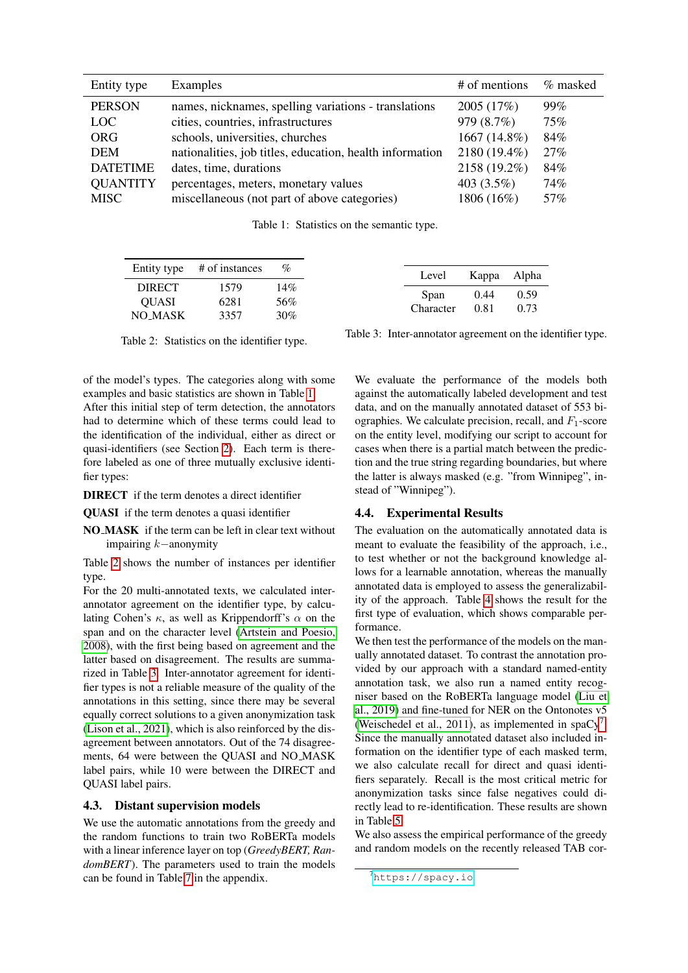<span id="page-5-0"></span>

| Entity type     | Examples                                                 | # of mentions | % masked |
|-----------------|----------------------------------------------------------|---------------|----------|
| <b>PERSON</b>   | names, nicknames, spelling variations - translations     | 2005 (17%)    | 99%      |
| <b>LOC</b>      | cities, countries, infrastructures                       | 979 (8.7%)    | 75%      |
| <b>ORG</b>      | schools, universities, churches                          | 1667 (14.8%)  | 84%      |
| <b>DEM</b>      | nationalities, job titles, education, health information | 2180 (19.4%)  | 27%      |
| <b>DATETIME</b> | dates, time, durations                                   | 2158 (19.2%)  | 84%      |
| <b>QUANTITY</b> | percentages, meters, monetary values                     | 403 $(3.5\%)$ | 74%      |
| <b>MISC</b>     | miscellaneous (not part of above categories)             | 1806 (16%)    | 57%      |

Table 1: Statistics on the semantic type.

<span id="page-5-1"></span>

| Entity type # of instances               | %                 |
|------------------------------------------|-------------------|
| <b>DIRECT</b><br><b>OUASI</b><br>NO MASK | 14%<br>56%<br>30% |

Table 2: Statistics on the identifier type.

of the model's types. The categories along with some examples and basic statistics are shown in Table [1.](#page-5-0)

After this initial step of term detection, the annotators had to determine which of these terms could lead to the identification of the individual, either as direct or quasi-identifiers (see Section [2\)](#page-1-2). Each term is therefore labeled as one of three mutually exclusive identifier types:

DIRECT if the term denotes a direct identifier

QUASI if the term denotes a quasi identifier

NO MASK if the term can be left in clear text without impairing k−anonymity

Table [2](#page-5-1) shows the number of instances per identifier type.

For the 20 multi-annotated texts, we calculated interannotator agreement on the identifier type, by calculating Cohen's  $\kappa$ , as well as Krippendorff's  $\alpha$  on the span and on the character level [\(Artstein and Poesio,](#page-8-9) [2008\)](#page-8-9), with the first being based on agreement and the latter based on disagreement. The results are summarized in Table [3.](#page-5-1) Inter-annotator agreement for identifier types is not a reliable measure of the quality of the annotations in this setting, since there may be several equally correct solutions to a given anonymization task [\(Lison et al., 2021\)](#page-9-3), which is also reinforced by the disagreement between annotators. Out of the 74 disagreements, 64 were between the QUASI and NO MASK label pairs, while 10 were between the DIRECT and QUASI label pairs.

### <span id="page-5-3"></span>4.3. Distant supervision models

We use the automatic annotations from the greedy and the random functions to train two RoBERTa models with a linear inference layer on top (*GreedyBERT, RandomBERT*). The parameters used to train the models can be found in Table [7](#page-8-10) in the appendix.

Table 3: Inter-annotator agreement on the identifier type.

We evaluate the performance of the models both against the automatically labeled development and test data, and on the manually annotated dataset of 553 biographies. We calculate precision, recall, and  $F_1$ -score on the entity level, modifying our script to account for cases when there is a partial match between the prediction and the true string regarding boundaries, but where the latter is always masked (e.g. "from Winnipeg", instead of "Winnipeg").

## 4.4. Experimental Results

The evaluation on the automatically annotated data is meant to evaluate the feasibility of the approach, i.e., to test whether or not the background knowledge allows for a learnable annotation, whereas the manually annotated data is employed to assess the generalizability of the approach. Table [4](#page-6-0) shows the result for the first type of evaluation, which shows comparable performance.

We then test the performance of the models on the manually annotated dataset. To contrast the annotation provided by our approach with a standard named-entity annotation task, we also run a named entity recogniser based on the RoBERTa language model [\(Liu et](#page-9-20) [al., 2019\)](#page-9-20) and fine-tuned for NER on the Ontonotes v5 [\(Weischedel et al., 2011\)](#page-10-2), as implemented in spa $Cy^{7}$  $Cy^{7}$  $Cy^{7}$ . Since the manually annotated dataset also included information on the identifier type of each masked term, we also calculate recall for direct and quasi identifiers separately. Recall is the most critical metric for anonymization tasks since false negatives could directly lead to re-identification. These results are shown in Table [5.](#page-6-1)

We also assess the empirical performance of the greedy and random models on the recently released TAB cor-

<span id="page-5-2"></span><sup>7</sup><https://spacy.io>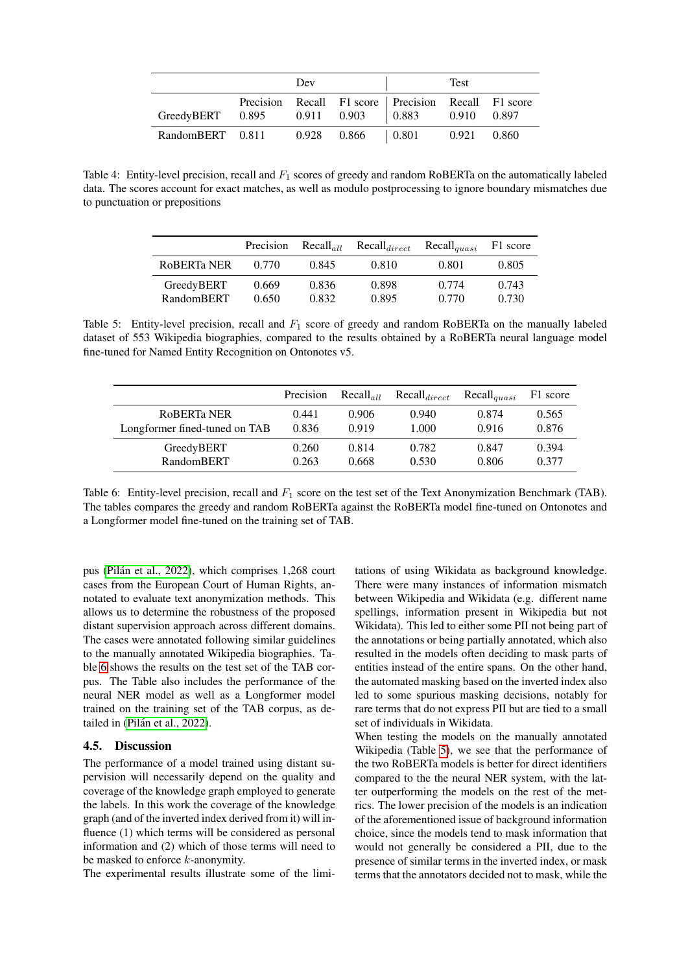<span id="page-6-0"></span>

|                                                | Dev |                         | <b>Test</b>                                           |       |       |
|------------------------------------------------|-----|-------------------------|-------------------------------------------------------|-------|-------|
| GreedyBERT 0.895 0.911 0.903 0.883 0.910 0.897 |     |                         | Precision Recall F1 score   Precision Recall F1 score |       |       |
| RandomBERT 0.811                               |     | $0.928$ $0.866$ $0.801$ |                                                       | 0.921 | 0.860 |

<span id="page-6-1"></span>Table 4: Entity-level precision, recall and  $F_1$  scores of greedy and random RoBERTa on the automatically labeled data. The scores account for exact matches, as well as modulo postprocessing to ignore boundary mismatches due to punctuation or prepositions

|                   | Precision | $Recall_{all}$ | $Recall_{direct}$ | $Recall_{quasi}$ | F1 score |
|-------------------|-----------|----------------|-------------------|------------------|----------|
| ROBERTA NER       | 0.770     | 0.845          | 0.810             | 0.801            | 0.805    |
| GreedyBERT        | 0.669     | 0.836          | 0.898             | 0.774            | 0.743    |
| <b>RandomBERT</b> | 0.650     | 0.832          | 0.895             | 0.770            | 0.730    |

Table 5: Entity-level precision, recall and  $F_1$  score of greedy and random RoBERTa on the manually labeled dataset of 553 Wikipedia biographies, compared to the results obtained by a RoBERTa neural language model fine-tuned for Named Entity Recognition on Ontonotes v5.

<span id="page-6-2"></span>

|                               | Precision | $Recall_{all}$ | $Recall_{direct}$ | $Recall_{quasi}$ | F1 score |
|-------------------------------|-----------|----------------|-------------------|------------------|----------|
| ROBERTa NER                   | 0.441     | 0.906          | 0.940             | 0.874            | 0.565    |
| Longformer fined-tuned on TAB | 0.836     | 0.919          | 1.000             | 0.916            | 0.876    |
| GreedyBERT                    | 0.260     | 0.814          | 0.782             | 0.847            | 0.394    |
| <b>RandomBERT</b>             | 0.263     | 0.668          | 0.530             | 0.806            | 0.377    |

Table 6: Entity-level precision, recall and  $F_1$  score on the test set of the Text Anonymization Benchmark (TAB). The tables compares the greedy and random RoBERTa against the RoBERTa model fine-tuned on Ontonotes and a Longformer model fine-tuned on the training set of TAB.

pus (Pilán et al., 2022), which comprises 1,268 court cases from the European Court of Human Rights, annotated to evaluate text anonymization methods. This allows us to determine the robustness of the proposed distant supervision approach across different domains. The cases were annotated following similar guidelines to the manually annotated Wikipedia biographies. Table [6](#page-6-2) shows the results on the test set of the TAB corpus. The Table also includes the performance of the neural NER model as well as a Longformer model trained on the training set of the TAB corpus, as detailed in (Pilán et al., 2022).

## 4.5. Discussion

The performance of a model trained using distant supervision will necessarily depend on the quality and coverage of the knowledge graph employed to generate the labels. In this work the coverage of the knowledge graph (and of the inverted index derived from it) will influence (1) which terms will be considered as personal information and (2) which of those terms will need to be masked to enforce k-anonymity.

The experimental results illustrate some of the limi-

tations of using Wikidata as background knowledge. There were many instances of information mismatch between Wikipedia and Wikidata (e.g. different name spellings, information present in Wikipedia but not Wikidata). This led to either some PII not being part of the annotations or being partially annotated, which also resulted in the models often deciding to mask parts of entities instead of the entire spans. On the other hand, the automated masking based on the inverted index also led to some spurious masking decisions, notably for rare terms that do not express PII but are tied to a small set of individuals in Wikidata.

When testing the models on the manually annotated Wikipedia (Table [5\)](#page-6-1), we see that the performance of the two RoBERTa models is better for direct identifiers compared to the the neural NER system, with the latter outperforming the models on the rest of the metrics. The lower precision of the models is an indication of the aforementioned issue of background information choice, since the models tend to mask information that would not generally be considered a PII, due to the presence of similar terms in the inverted index, or mask terms that the annotators decided not to mask, while the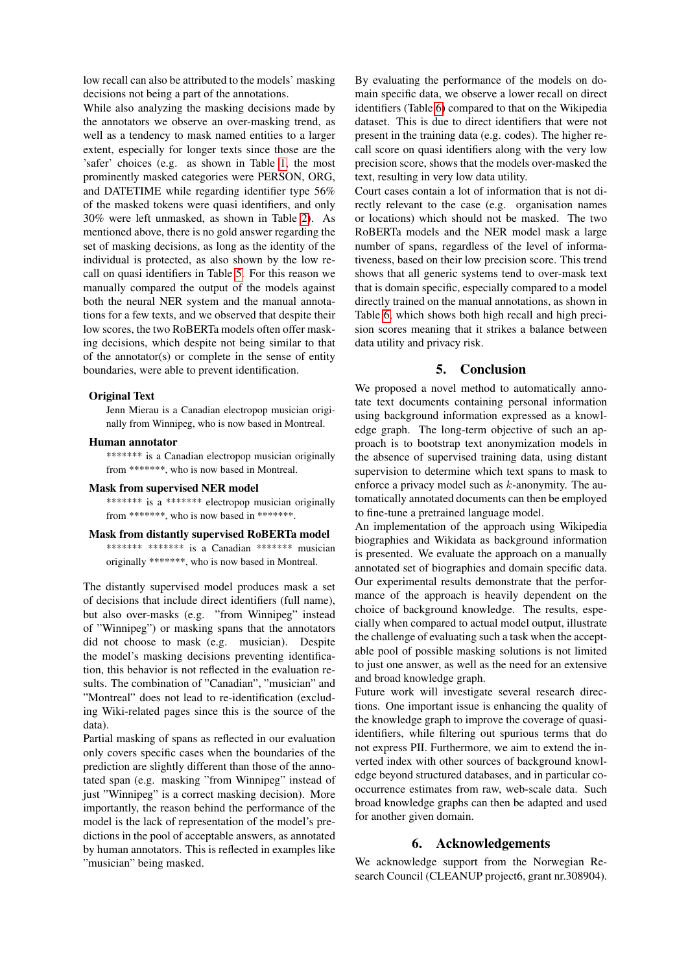low recall can also be attributed to the models' masking decisions not being a part of the annotations.

While also analyzing the masking decisions made by the annotators we observe an over-masking trend, as well as a tendency to mask named entities to a larger extent, especially for longer texts since those are the 'safer' choices (e.g. as shown in Table [1,](#page-5-0) the most prominently masked categories were PERSON, ORG, and DATETIME while regarding identifier type 56% of the masked tokens were quasi identifiers, and only 30% were left unmasked, as shown in Table [2\)](#page-5-1). As mentioned above, there is no gold answer regarding the set of masking decisions, as long as the identity of the individual is protected, as also shown by the low recall on quasi identifiers in Table [5.](#page-6-1) For this reason we manually compared the output of the models against both the neural NER system and the manual annotations for a few texts, and we observed that despite their low scores, the two RoBERTa models often offer masking decisions, which despite not being similar to that of the annotator(s) or complete in the sense of entity boundaries, were able to prevent identification.

#### Original Text

Jenn Mierau is a Canadian electropop musician originally from Winnipeg, who is now based in Montreal.

#### Human annotator

\*\*\*\*\*\*\* is a Canadian electropop musician originally from \*\*\*\*\*\*\*, who is now based in Montreal.

#### Mask from supervised NER model

\*\*\*\*\*\*\* is a \*\*\*\*\*\*\* electropop musician originally from \*\*\*\*\*\*\*, who is now based in \*\*\*\*\*\*\*.

#### Mask from distantly supervised RoBERTa model

\*\*\*\*\*\*\*\* \*\*\*\*\*\*\* is a Canadian \*\*\*\*\*\*\* musician originally \*\*\*\*\*\*\*, who is now based in Montreal.

The distantly supervised model produces mask a set of decisions that include direct identifiers (full name), but also over-masks (e.g. "from Winnipeg" instead of "Winnipeg") or masking spans that the annotators did not choose to mask (e.g. musician). Despite the model's masking decisions preventing identification, this behavior is not reflected in the evaluation results. The combination of "Canadian", "musician" and "Montreal" does not lead to re-identification (excluding Wiki-related pages since this is the source of the data).

Partial masking of spans as reflected in our evaluation only covers specific cases when the boundaries of the prediction are slightly different than those of the annotated span (e.g. masking "from Winnipeg" instead of just "Winnipeg" is a correct masking decision). More importantly, the reason behind the performance of the model is the lack of representation of the model's predictions in the pool of acceptable answers, as annotated by human annotators. This is reflected in examples like "musician" being masked.

By evaluating the performance of the models on domain specific data, we observe a lower recall on direct identifiers (Table [6\)](#page-6-2) compared to that on the Wikipedia dataset. This is due to direct identifiers that were not present in the training data (e.g. codes). The higher recall score on quasi identifiers along with the very low precision score, shows that the models over-masked the text, resulting in very low data utility.

Court cases contain a lot of information that is not directly relevant to the case (e.g. organisation names or locations) which should not be masked. The two RoBERTa models and the NER model mask a large number of spans, regardless of the level of informativeness, based on their low precision score. This trend shows that all generic systems tend to over-mask text that is domain specific, especially compared to a model directly trained on the manual annotations, as shown in Table [6,](#page-6-2) which shows both high recall and high precision scores meaning that it strikes a balance between data utility and privacy risk.

### 5. Conclusion

<span id="page-7-0"></span>We proposed a novel method to automatically annotate text documents containing personal information using background information expressed as a knowledge graph. The long-term objective of such an approach is to bootstrap text anonymization models in the absence of supervised training data, using distant supervision to determine which text spans to mask to enforce a privacy model such as  $k$ -anonymity. The automatically annotated documents can then be employed to fine-tune a pretrained language model.

An implementation of the approach using Wikipedia biographies and Wikidata as background information is presented. We evaluate the approach on a manually annotated set of biographies and domain specific data. Our experimental results demonstrate that the performance of the approach is heavily dependent on the choice of background knowledge. The results, especially when compared to actual model output, illustrate the challenge of evaluating such a task when the acceptable pool of possible masking solutions is not limited to just one answer, as well as the need for an extensive and broad knowledge graph.

Future work will investigate several research directions. One important issue is enhancing the quality of the knowledge graph to improve the coverage of quasiidentifiers, while filtering out spurious terms that do not express PII. Furthermore, we aim to extend the inverted index with other sources of background knowledge beyond structured databases, and in particular cooccurrence estimates from raw, web-scale data. Such broad knowledge graphs can then be adapted and used for another given domain.

## 6. Acknowledgements

We acknowledge support from the Norwegian Research Council (CLEANUP project6, grant nr.308904).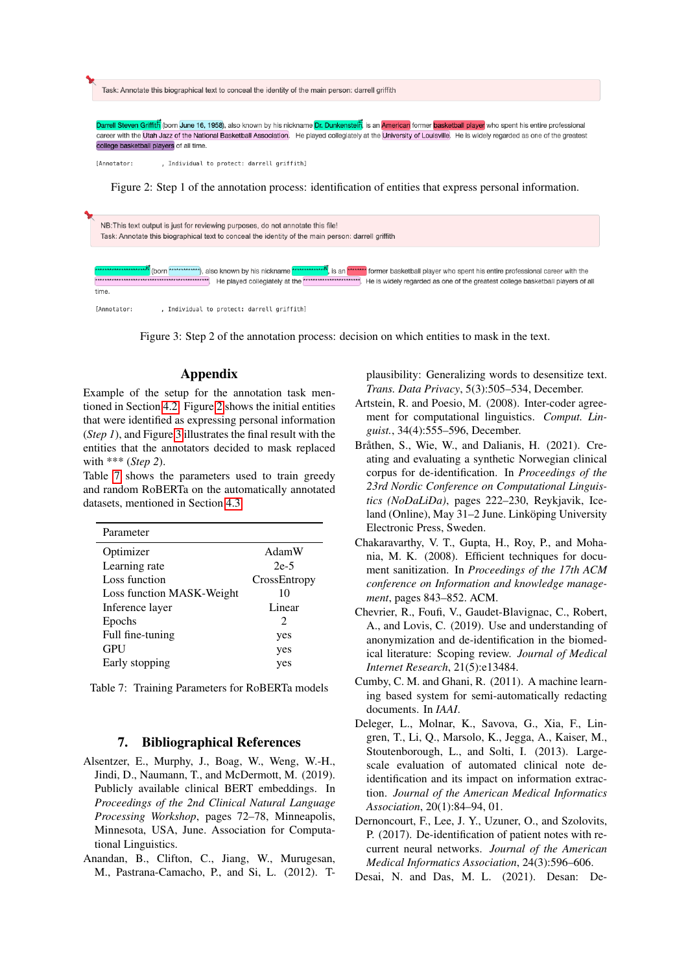<span id="page-8-11"></span>Task: Annotate this biographical text to conceal the identity of the main person; darrell griffith

tein, is an <mark>American</mark> former <mark>basketball player</mark> who spent his entire professional n Griffith (born June 16, 1958), also known by his nickname Dr. Dunk career with the Utah Jazz of the National Basketball Association. He played collegiately at the University of Louisville. He is widely regarded as one of the greatest college basketball players of all time

[Annotator: . Individual to protect: darrell griffith]

Figure 2: Step 1 of the annotation process: identification of entities that express personal information.

<span id="page-8-12"></span>

, Individual to protect: darrell griffith] [Annotator:

Figure 3: Step 2 of the annotation process: decision on which entities to mask in the text.

# Appendix

Example of the setup for the annotation task mentioned in Section [4.2.](#page-4-3) Figure [2](#page-8-11) shows the initial entities that were identified as expressing personal information (*Step 1*), and Figure [3](#page-8-12) illustrates the final result with the entities that the annotators decided to mask replaced with \*\*\* (*Step 2*).

Table [7](#page-8-10) shows the parameters used to train greedy and random RoBERTa on the automatically annotated datasets, mentioned in Section [4.3.](#page-5-3)

<span id="page-8-10"></span>

| AdamW         |
|---------------|
| $2e-5$        |
| CrossEntropy  |
| 10            |
| Linear        |
| $\mathcal{L}$ |
| yes           |
| yes           |
| yes           |
|               |

Table 7: Training Parameters for RoBERTa models

## 7. Bibliographical References

- <span id="page-8-8"></span>Alsentzer, E., Murphy, J., Boag, W., Weng, W.-H., Jindi, D., Naumann, T., and McDermott, M. (2019). Publicly available clinical BERT embeddings. In *Proceedings of the 2nd Clinical Natural Language Processing Workshop*, pages 72–78, Minneapolis, Minnesota, USA, June. Association for Computational Linguistics.
- <span id="page-8-6"></span>Anandan, B., Clifton, C., Jiang, W., Murugesan, M., Pastrana-Camacho, P., and Si, L. (2012). T-

plausibility: Generalizing words to desensitize text. *Trans. Data Privacy*, 5(3):505–534, December.

- <span id="page-8-9"></span>Artstein, R. and Poesio, M. (2008). Inter-coder agreement for computational linguistics. *Comput. Linguist.*, 34(4):555–596, December.
- <span id="page-8-1"></span>Bråthen, S., Wie, W., and Dalianis, H. (2021). Creating and evaluating a synthetic Norwegian clinical corpus for de-identification. In *Proceedings of the 23rd Nordic Conference on Computational Linguistics (NoDaLiDa)*, pages 222–230, Reykjavik, Iceland (Online), May 31-2 June. Linköping University Electronic Press, Sweden.
- <span id="page-8-4"></span>Chakaravarthy, V. T., Gupta, H., Roy, P., and Mohania, M. K. (2008). Efficient techniques for document sanitization. In *Proceedings of the 17th ACM conference on Information and knowledge management*, pages 843–852. ACM.
- <span id="page-8-2"></span>Chevrier, R., Foufi, V., Gaudet-Blavignac, C., Robert, A., and Lovis, C. (2019). Use and understanding of anonymization and de-identification in the biomedical literature: Scoping review. *Journal of Medical Internet Research*, 21(5):e13484.
- <span id="page-8-5"></span>Cumby, C. M. and Ghani, R. (2011). A machine learning based system for semi-automatically redacting documents. In *IAAI*.
- <span id="page-8-3"></span>Deleger, L., Molnar, K., Savova, G., Xia, F., Lingren, T., Li, Q., Marsolo, K., Jegga, A., Kaiser, M., Stoutenborough, L., and Solti, I. (2013). Largescale evaluation of automated clinical note deidentification and its impact on information extraction. *Journal of the American Medical Informatics Association*, 20(1):84–94, 01.
- <span id="page-8-0"></span>Dernoncourt, F., Lee, J. Y., Uzuner, O., and Szolovits, P. (2017). De-identification of patient notes with recurrent neural networks. *Journal of the American Medical Informatics Association*, 24(3):596–606.
- <span id="page-8-7"></span>Desai, N. and Das, M. L. (2021). Desan: De-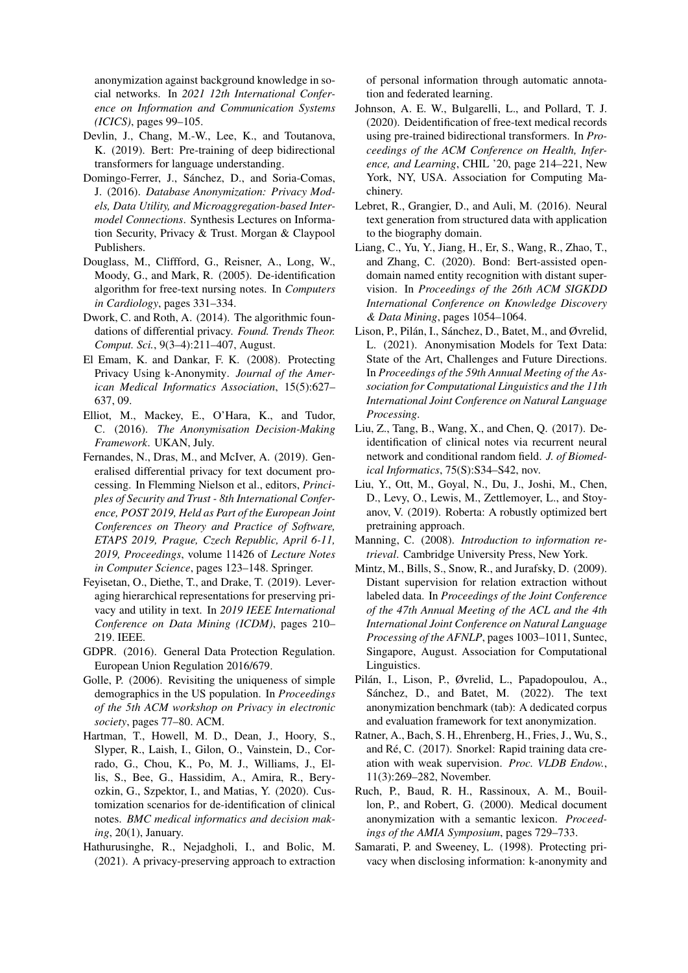anonymization against background knowledge in social networks. In *2021 12th International Conference on Information and Communication Systems (ICICS)*, pages 99–105.

- <span id="page-9-19"></span>Devlin, J., Chang, M.-W., Lee, K., and Toutanova, K. (2019). Bert: Pre-training of deep bidirectional transformers for language understanding.
- <span id="page-9-2"></span>Domingo-Ferrer, J., Sánchez, D., and Soria-Comas, J. (2016). *Database Anonymization: Privacy Models, Data Utility, and Microaggregation-based Intermodel Connections*. Synthesis Lectures on Information Security, Privacy & Trust. Morgan & Claypool Publishers.
- <span id="page-9-9"></span>Douglass, M., Cliffford, G., Reisner, A., Long, W., Moody, G., and Mark, R. (2005). De-identification algorithm for free-text nursing notes. In *Computers in Cardiology*, pages 331–334.
- <span id="page-9-14"></span>Dwork, C. and Roth, A. (2014). The algorithmic foundations of differential privacy. *Found. Trends Theor. Comput. Sci.*, 9(3–4):211–407, August.
- <span id="page-9-18"></span>El Emam, K. and Dankar, F. K. (2008). Protecting Privacy Using k-Anonymity. *Journal of the American Medical Informatics Association*, 15(5):627– 637, 09.
- <span id="page-9-1"></span>Elliot, M., Mackey, E., O'Hara, K., and Tudor, C. (2016). *The Anonymisation Decision-Making Framework*. UKAN, July.
- <span id="page-9-15"></span>Fernandes, N., Dras, M., and McIver, A. (2019). Generalised differential privacy for text document processing. In Flemming Nielson et al., editors, *Principles of Security and Trust - 8th International Conference, POST 2019, Held as Part of the European Joint Conferences on Theory and Practice of Software, ETAPS 2019, Prague, Czech Republic, April 6-11, 2019, Proceedings*, volume 11426 of *Lecture Notes in Computer Science*, pages 123–148. Springer.
- <span id="page-9-16"></span>Feyisetan, O., Diethe, T., and Drake, T. (2019). Leveraging hierarchical representations for preserving privacy and utility in text. In *2019 IEEE International Conference on Data Mining (ICDM)*, pages 210– 219. IEEE.
- <span id="page-9-0"></span>GDPR. (2016). General Data Protection Regulation. European Union Regulation 2016/679.
- <span id="page-9-13"></span>Golle, P. (2006). Revisiting the uniqueness of simple demographics in the US population. In *Proceedings of the 5th ACM workshop on Privacy in electronic society*, pages 77–80. ACM.
- <span id="page-9-5"></span>Hartman, T., Howell, M. D., Dean, J., Hoory, S., Slyper, R., Laish, I., Gilon, O., Vainstein, D., Corrado, G., Chou, K., Po, M. J., Williams, J., Ellis, S., Bee, G., Hassidim, A., Amira, R., Beryozkin, G., Szpektor, I., and Matias, Y. (2020). Customization scenarios for de-identification of clinical notes. *BMC medical informatics and decision making*, 20(1), January.
- <span id="page-9-11"></span>Hathurusinghe, R., Nejadgholi, I., and Bolic, M. (2021). A privacy-preserving approach to extraction

of personal information through automatic annotation and federated learning.

- <span id="page-9-4"></span>Johnson, A. E. W., Bulgarelli, L., and Pollard, T. J. (2020). Deidentification of free-text medical records using pre-trained bidirectional transformers. In *Proceedings of the ACM Conference on Health, Inference, and Learning*, CHIL '20, page 214–221, New York, NY, USA. Association for Computing Machinery.
- <span id="page-9-22"></span>Lebret, R., Grangier, D., and Auli, M. (2016). Neural text generation from structured data with application to the biography domain.
- <span id="page-9-7"></span>Liang, C., Yu, Y., Jiang, H., Er, S., Wang, R., Zhao, T., and Zhang, C. (2020). Bond: Bert-assisted opendomain named entity recognition with distant supervision. In *Proceedings of the 26th ACM SIGKDD International Conference on Knowledge Discovery & Data Mining*, pages 1054–1064.
- <span id="page-9-3"></span>Lison, P., Pilán, I., Sánchez, D., Batet, M., and Øvrelid, L. (2021). Anonymisation Models for Text Data: State of the Art, Challenges and Future Directions. In *Proceedings of the 59th Annual Meeting of the Association for Computational Linguistics and the 11th International Joint Conference on Natural Language Processing*.
- <span id="page-9-10"></span>Liu, Z., Tang, B., Wang, X., and Chen, Q. (2017). Deidentification of clinical notes via recurrent neural network and conditional random field. *J. of Biomedical Informatics*, 75(S):S34–S42, nov.
- <span id="page-9-20"></span>Liu, Y., Ott, M., Goyal, N., Du, J., Joshi, M., Chen, D., Levy, O., Lewis, M., Zettlemoyer, L., and Stoyanov, V. (2019). Roberta: A robustly optimized bert pretraining approach.
- <span id="page-9-17"></span>Manning, C. (2008). *Introduction to information retrieval*. Cambridge University Press, New York.
- <span id="page-9-6"></span>Mintz, M., Bills, S., Snow, R., and Jurafsky, D. (2009). Distant supervision for relation extraction without labeled data. In *Proceedings of the Joint Conference of the 47th Annual Meeting of the ACL and the 4th International Joint Conference on Natural Language Processing of the AFNLP*, pages 1003–1011, Suntec, Singapore, August. Association for Computational Linguistics.
- <span id="page-9-23"></span>Pilan, I., Lison, P., Øvrelid, L., Papadopoulou, A., ´ Sánchez, D., and Batet, M. (2022). The text anonymization benchmark (tab): A dedicated corpus and evaluation framework for text anonymization.
- <span id="page-9-21"></span>Ratner, A., Bach, S. H., Ehrenberg, H., Fries, J., Wu, S., and Ré, C. (2017). Snorkel: Rapid training data creation with weak supervision. *Proc. VLDB Endow.*, 11(3):269–282, November.
- <span id="page-9-8"></span>Ruch, P., Baud, R. H., Rassinoux, A. M., Bouillon, P., and Robert, G. (2000). Medical document anonymization with a semantic lexicon. *Proceedings of the AMIA Symposium*, pages 729–733.
- <span id="page-9-12"></span>Samarati, P. and Sweeney, L. (1998). Protecting privacy when disclosing information: k-anonymity and